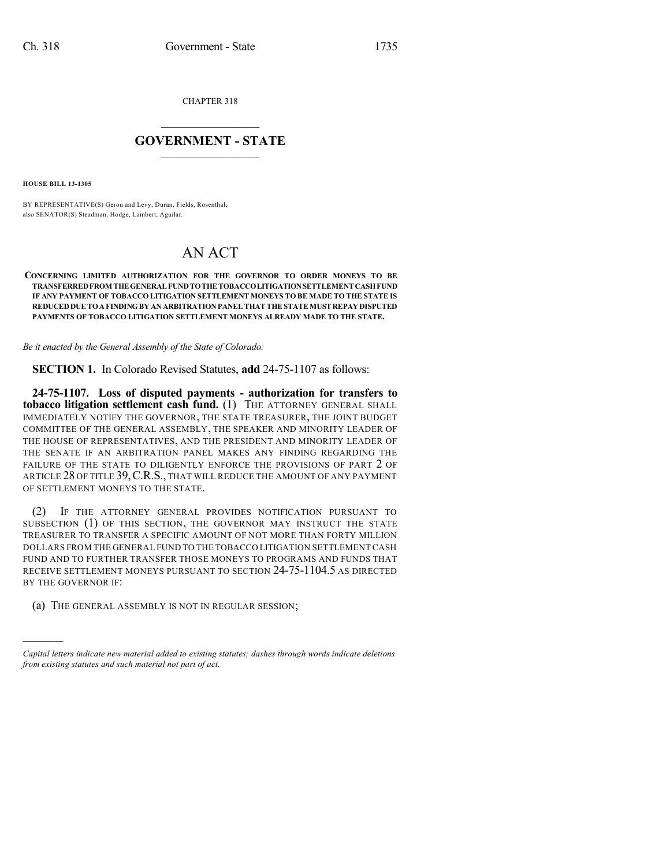CHAPTER 318

## $\mathcal{L}_\text{max}$  . The set of the set of the set of the set of the set of the set of the set of the set of the set of the set of the set of the set of the set of the set of the set of the set of the set of the set of the set **GOVERNMENT - STATE**  $\_$   $\_$   $\_$   $\_$   $\_$   $\_$   $\_$   $\_$   $\_$

**HOUSE BILL 13-1305**

)))))

BY REPRESENTATIVE(S) Gerou and Levy, Duran, Fields, Rosenthal; also SENATOR(S) Steadman, Hodge, Lambert, Aguilar.

## AN ACT

## **CONCERNING LIMITED AUTHORIZATION FOR THE GOVERNOR TO ORDER MONEYS TO BE TRANSFERREDFROM THE GENERAL FUNDTOTHE TOBACCOLITIGATIONSETTLEMENT CASHFUND IF ANY PAYMENT OF TOBACCO LITIGATION SETTLEMENT MONEYS TO BE MADE TO THE STATE IS REDUCEDDUE TOAFINDINGBY AN ARBITRATION PANELTHAT THE STATEMUST REPAYDISPUTED PAYMENTS OF TOBACCO LITIGATION SETTLEMENT MONEYS ALREADY MADE TO THE STATE.**

*Be it enacted by the General Assembly of the State of Colorado:*

**SECTION 1.** In Colorado Revised Statutes, **add** 24-75-1107 as follows:

**24-75-1107. Loss of disputed payments - authorization for transfers to tobacco litigation settlement cash fund.** (1) THE ATTORNEY GENERAL SHALL IMMEDIATELY NOTIFY THE GOVERNOR, THE STATE TREASURER, THE JOINT BUDGET COMMITTEE OF THE GENERAL ASSEMBLY, THE SPEAKER AND MINORITY LEADER OF THE HOUSE OF REPRESENTATIVES, AND THE PRESIDENT AND MINORITY LEADER OF THE SENATE IF AN ARBITRATION PANEL MAKES ANY FINDING REGARDING THE FAILURE OF THE STATE TO DILIGENTLY ENFORCE THE PROVISIONS OF PART 2 OF ARTICLE 28 OF TITLE 39,C.R.S., THAT WILL REDUCE THE AMOUNT OF ANY PAYMENT OF SETTLEMENT MONEYS TO THE STATE.

(2) IF THE ATTORNEY GENERAL PROVIDES NOTIFICATION PURSUANT TO SUBSECTION (1) OF THIS SECTION, THE GOVERNOR MAY INSTRUCT THE STATE TREASURER TO TRANSFER A SPECIFIC AMOUNT OF NOT MORE THAN FORTY MILLION DOLLARS FROM THE GENERAL FUND TO THE TOBACCO LITIGATION SETTLEMENT CASH FUND AND TO FURTHER TRANSFER THOSE MONEYS TO PROGRAMS AND FUNDS THAT RECEIVE SETTLEMENT MONEYS PURSUANT TO SECTION 24-75-1104.5 AS DIRECTED BY THE GOVERNOR IF:

(a) THE GENERAL ASSEMBLY IS NOT IN REGULAR SESSION;

*Capital letters indicate new material added to existing statutes; dashes through words indicate deletions from existing statutes and such material not part of act.*